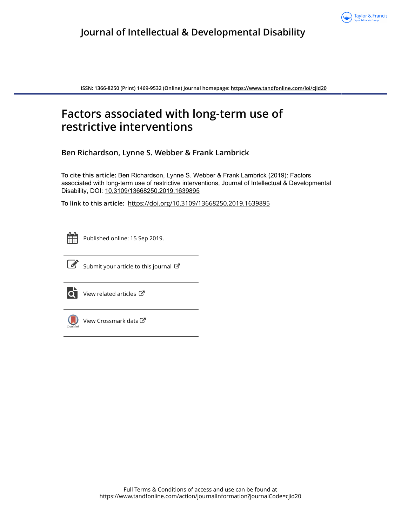

**Journal of Intellectual & Developmental Disability**

**ISSN: 1366-8250 (Print) 1469-9532 (Online) Journal homepage:<https://www.tandfonline.com/loi/cjid20>**

# **Factors associated with long-term use of restrictive interventions**

**Ben Richardson, Lynne S. Webber & Frank Lambrick**

**To cite this article:** Ben Richardson, Lynne S. Webber & Frank Lambrick (2019): Factors associated with long-term use of restrictive interventions, Journal of Intellectual & Developmental Disability, DOI: [10.3109/13668250.2019.1639895](https://www.tandfonline.com/action/showCitFormats?doi=10.3109/13668250.2019.1639895)

**To link to this article:** <https://doi.org/10.3109/13668250.2019.1639895>



Published online: 15 Sep 2019.



 $\overrightarrow{S}$  [Submit your article to this journal](https://www.tandfonline.com/action/authorSubmission?journalCode=cjid20&show=instructions)  $\overrightarrow{S}$ 



 $\overrightarrow{Q}$  [View related articles](https://www.tandfonline.com/doi/mlt/10.3109/13668250.2019.1639895)  $\mathbb{Z}$ 



 $\bigcirc$  [View Crossmark data](http://crossmark.crossref.org/dialog/?doi=10.3109/13668250.2019.1639895&domain=pdf&date_stamp=2019-09-15) $\mathbb{Z}$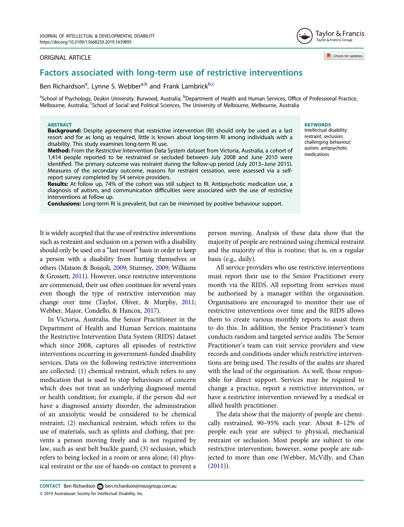#### <span id="page-1-0"></span>ORIGINAL ARTICLE

# Factors associated with long-term use of restrictive interventions

Ben Richardson<sup>a</sup>, Lynne S. Webber<sup>a,b</sup> and Frank Lambrick<sup>b,c</sup>

<sup>a</sup>School of Psychology, Deakin University, Burwood, Australia; <sup>b</sup>Department of Health and Human Services, Office of Professional Practice, Melbourne, Australia; School of Social and Political Sciences, The University of Melbourne, Melbourne, Australia

#### ABSTRACT

Background: Despite agreement that restrictive intervention (RI) should only be used as a last resort and for as long as required, little is known about long-term RI among individuals with a disability. This study examines long-term RI use.

Method: From the Restrictive Intervention Data System dataset from Victoria, Australia, a cohort of 1,414 people reported to be restrained or secluded between July 2008 and June 2010 were identified. The primary outcome was restraint during the follow-up period (July 2013–June 2015). Measures of the secondary outcome, reasons for restraint cessation, were assessed via a selfreport survey completed by 54 service providers.

Results: At follow up, 74% of the cohort was still subject to RI. Antipsychotic medication use, a diagnosis of autism, and communication difficulties were associated with the use of restrictive interventions at follow up.

**Conclusions:** Long-term RI is prevalent, but can be minimised by positive behaviour support.

#### **KEYWORDS**

Intellectual disability; restraint; seclusion; challenging behaviour; autism; antipsychotic medications

It is widely accepted that the use of restrictive interventions such as restraint and seclusion on a person with a disability should only be used on a "last resort" basis in order to keep a person with a disability from hurting themselves or others (Matson & Boisjoli, [2009](#page-7-0); Sturmey, [2009;](#page-8-0) Williams & Grossett, [2011](#page-8-0)). However, once restrictive interventions are commenced, their use often continues for several years even though the type of restrictive intervention may change over time (Taylor, Oliver, & Murphy, [2011](#page-8-0); Webber, Major, Condello, & Hancox, [2017\)](#page-8-0).

In Victoria, Australia, the Senior Practitioner in the Department of Health and Human Services maintains the Restrictive Intervention Data System (RIDS) dataset which since 2008, captures all episodes of restrictive interventions occurring in government-funded disability services. Data on the following restrictive interventions are collected: (1) chemical restraint, which refers to any medication that is used to stop behaviours of concern which does not treat an underlying diagnosed mental or health condition; for example, if the person did not have a diagnosed anxiety disorder, the administration of an anxiolytic would be considered to be chemical restraint; (2) mechanical restraint, which refers to the use of materials, such as splints and clothing, that prevents a person moving freely and is not required by law, such as seat belt buckle guard; (3) seclusion, which refers to being locked in a room or area alone; (4) physical restraint or the use of hands-on contact to prevent a

All service providers who use restrictive interventions must report their use to the Senior Practitioner every month via the RIDS. All reporting from services must be authorised by a manager within the organisation. Organisations are encouraged to monitor their use of restrictive interventions over time and the RIDS allows them to create various monthly reports to assist them to do this. In addition, the Senior Practitioner's team conducts random and targeted service audits. The Senior Practitioner's team can visit service providers and view records and conditions under which restrictive interventions are being used. The results of the audits are shared with the lead of the organisation. As well, those responsible for direct support. Services may be required to change a practice, report a restrictive intervention, or have a restrictive intervention reviewed by a medical or allied health practitioner.

The data show that the majority of people are chemically restrained, 90–95% each year. About 8–12% of people each year are subject to physical, mechanical restraint or seclusion. Most people are subject to one restrictive intervention; however, some people are subjected to more than one (Webber, McVilly, and Chan [\(2011](#page-8-0))).



Check for updates

person moving. Analysis of these data show that the majority of people are restrained using chemical restraint and the majority of this is routine; that is, on a regular basis (e.g., daily).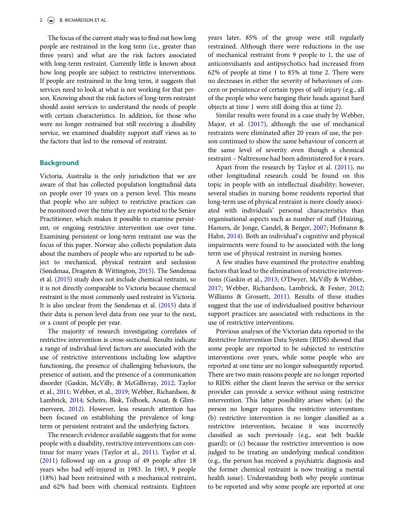<span id="page-2-0"></span>The focus of the current study was to find out how long people are restrained in the long term (i.e., greater than three years) and what are the risk factors associated with long-term restraint. Currently little is known about how long people are subject to restrictive interventions. If people are restrained in the long term, it suggests that services need to look at what is not working for that person. Knowing about the risk factors of long-term restraint should assist services to understand the needs of people with certain characteristics. In addition, for those who were no longer restrained but still receiving a disability service, we examined disability support staff views as to the factors that led to the removal of restraint.

#### **Background**

Victoria, Australia is the only jurisdiction that we are aware of that has collected population longitudinal data on people over 10 years on a person level. This means that people who are subject to restrictive practices can be monitored over the time they are reported to the Senior Practitioner, which makes it possible to examine persistent, or ongoing restrictive intervention use over time. Examining persistent or long-term restraint use was the focus of this paper. Norway also collects population data about the numbers of people who are reported to be subject to mechanical, physical restraint and seclusion (Søndenaa, Dragsten & Wittington, [2015](#page-7-0)). The Søndenaa et al. [\(2015\)](#page-7-0) study does not include chemical restraint, so it is not directly comparable to Victoria because chemical restraint is the most commonly used restraint in Victoria. It is also unclear from the Søndenaa et al. ([2015](#page-7-0)) data if their data is person level data from one year to the next, or a count of people per year.

The majority of research investigating correlates of restrictive intervention is cross-sectional. Results indicate a range of individual-level factors are associated with the use of restrictive interventions including low adaptive functioning, the presence of challenging behaviours, the presence of autism, and the presence of a communication disorder (Gaskin, McVilly, & McGillivray, [2012](#page-7-0); Taylor et al., [2011;](#page-8-0) Webber, et al., [2019;](#page-8-0) Webber, Richardson, & Lambrick, [2014;](#page-8-0) Scheirs, Blok, Tolhoek, Aouat, & Glimmerveen, [2012\)](#page-7-0). However, less research attention has been focused on establishing the prevalence of longterm or persistent restraint and the underlying factors.

The research evidence available suggests that for some people with a disability, restrictive interventions can continue for many years (Taylor et al., [2011](#page-8-0)). Taylor et al. ([2011\)](#page-8-0) followed up on a group of 49 people after 18 years who had self-injured in 1983. In 1983, 9 people (18%) had been restrained with a mechanical restraint, and 62% had been with chemical restraints. Eighteen

years later, 85% of the group were still regularly restrained. Although there were reductions in the use of mechanical restraint from 9 people to 1, the use of anticonvulsants and antipsychotics had increased from 62% of people at time 1 to 85% at time 2. There were no decreases in either the severity of behaviours of concern or persistence of certain types of self-injury (e.g., all of the people who were banging their heads against hard objects at time 1 were still doing this at time 2).

Similar results were found in a case study by Webber, Major, et al. ([2017\)](#page-8-0), although the use of mechanical restraints were eliminated after 20 years of use, the person continued to show the same behaviour of concern at the same level of severity even though a chemical restraint – Naltrexone had been administered for 4 years.

Apart from the research by Taylor et al. ([2011\)](#page-8-0), no other longitudinal research could be found on this topic in people with an intellectual disability; however, several studies in nursing home residents reported that long-term use of physical restraint is more closely associated with individuals' personal characteristics than organisational aspects such as number of staff (Huizing, Hamers, de Jonge, Candel, & Berger, [2007;](#page-7-0) Hofmann & Hahn, [2014](#page-7-0)). Both an individual's cognitive and physical impairments were found to be associated with the long term use of physical restraint in nursing homes.

A few studies have examined the protective enabling factors that lead to the elimination of restrictive interventions (Gaskin et al., [2013;](#page-7-0) O'Dwyer, McVilly & Webber, [2017;](#page-7-0) Webber, Richardson, Lambrick, & Fester, [2012](#page-8-0); Williams & Grossett, [2011\)](#page-8-0). Results of these studies suggest that the use of individualised positive behaviour support practices are associated with reductions in the use of restrictive interventions.

Previous analyses of the Victorian data reported to the Restrictive Intervention Data System (RIDS) showed that some people are reported to be subjected to restrictive interventions over years, while some people who are reported at one time are no longer subsequently reported. There are two main reasons people are no longer reported to RIDS: either the client leaves the service or the service provider can provide a service without using restrictive intervention. This latter possibility arises when: (a) the person no longer requires the restrictive intervention; (b) restrictive intervention is no longer classified as a restrictive intervention, because it was incorrectly classified as such previously (e.g., seat belt buckle guard); or (c) because the restrictive intervention is now judged to be treating an underlying medical condition (e.g., the person has received a psychiatric diagnosis and the former chemical restraint is now treating a mental health issue). Understanding both why people continue to be reported and why some people are reported at one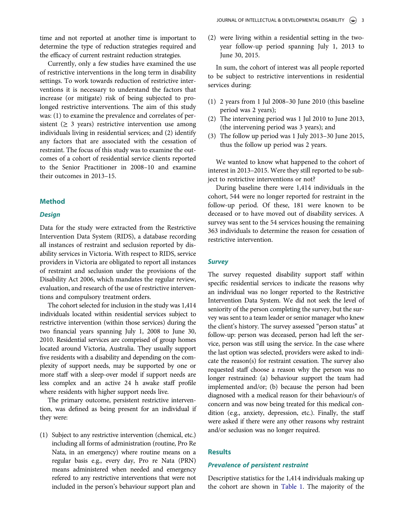time and not reported at another time is important to determine the type of reduction strategies required and the efficacy of current restraint reduction strategies.

Currently, only a few studies have examined the use of restrictive interventions in the long term in disability settings. To work towards reduction of restrictive interventions it is necessary to understand the factors that increase (or mitigate) risk of being subjected to prolonged restrictive interventions. The aim of this study was: (1) to examine the prevalence and correlates of persistent ( $\geq$  3 years) restrictive intervention use among individuals living in residential services; and (2) identify any factors that are associated with the cessation of restraint. The focus of this study was to examine the outcomes of a cohort of residential service clients reported to the Senior Practitioner in 2008–10 and examine their outcomes in 2013–15.

## Method

# Design

Data for the study were extracted from the Restrictive Intervention Data System (RIDS), a database recording all instances of restraint and seclusion reported by disability services in Victoria. With respect to RIDS, service providers in Victoria are obligated to report all instances of restraint and seclusion under the provisions of the Disability Act 2006, which mandates the regular review, evaluation, and research of the use of restrictive interventions and compulsory treatment orders.

The cohort selected for inclusion in the study was 1,414 individuals located within residential services subject to restrictive intervention (within those services) during the two financial years spanning July 1, 2008 to June 30, 2010. Residential services are comprised of group homes located around Victoria, Australia. They usually support five residents with a disability and depending on the complexity of support needs, may be supported by one or more staff with a sleep-over model if support needs are less complex and an active 24 h awake staff profile where residents with higher support needs live.

The primary outcome, persistent restrictive intervention, was defined as being present for an individual if they were:

(1) Subject to any restrictive intervention (chemical, etc.) including all forms of administration (routine, Pro Re Nata, in an emergency) where routine means on a regular basis e.g., every day, Pro re Nata (PRN) means administered when needed and emergency refered to any restrictive interventions that were not included in the person's behaviour support plan and

(2) were living within a residential setting in the twoyear follow-up period spanning July 1, 2013 to June 30, 2015.

In sum, the cohort of interest was all people reported to be subject to restrictive interventions in residential services during:

- (1) 2 years from 1 Jul 2008–30 June 2010 (this baseline period was 2 years);
- (2) The intervening period was 1 Jul 2010 to June 2013, (the intervening period was 3 years); and
- (3) The follow up period was 1 July 2013–30 June 2015, thus the follow up period was 2 years.

We wanted to know what happened to the cohort of interest in 2013–2015. Were they still reported to be subject to restrictive interventions or not?

During baseline there were 1,414 individuals in the cohort, 544 were no longer reported for restraint in the follow-up period. Of these, 181 were known to be deceased or to have moved out of disability services. A survey was sent to the 54 services housing the remaining 363 individuals to determine the reason for cessation of restrictive intervention.

### **Survey**

The survey requested disability support staff within specific residential services to indicate the reasons why an individual was no longer reported to the Restrictive Intervention Data System. We did not seek the level of seniority of the person completing the survey, but the survey was sent to a team leader or senior manager who knew the client's history. The survey assessed "person status" at follow-up: person was deceased, person had left the service, person was still using the service. In the case where the last option was selected, providers were asked to indicate the reason(s) for restraint cessation. The survey also requested staff choose a reason why the person was no longer restrained: (a) behaviour support the team had implemented and/or; (b) because the person had been diagnosed with a medical reason for their behaviour/s of concern and was now being treated for this medical condition (e.g., anxiety, depression, etc.). Finally, the staff were asked if there were any other reasons why restraint and/or seclusion was no longer required.

# **Results**

#### Prevalence of persistent restraint

Descriptive statistics for the 1,414 individuals making up the cohort are shown in [Table 1.](#page-4-0) The majority of the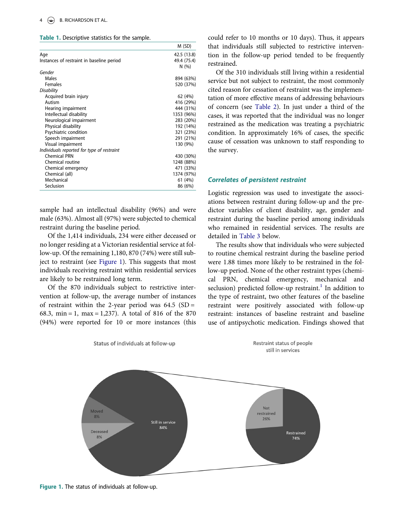<span id="page-4-0"></span>Table 1. Descriptive statistics for the sample.

|                                            | M (SD)      |  |
|--------------------------------------------|-------------|--|
| Age                                        | 42.5 (13.8) |  |
| Instances of restraint in baseline period  | 49.4 (75.4) |  |
|                                            | N(%)        |  |
| Gender                                     |             |  |
| Males                                      | 894 (63%)   |  |
| <b>Females</b>                             | 520 (37%)   |  |
| <b>Disability</b>                          |             |  |
| Acquired brain injury                      | 62 (4%)     |  |
| Autism                                     | 416 (29%)   |  |
| Hearing impairment                         | 444 (31%)   |  |
| Intellectual disability                    | 1353 (96%)  |  |
| Neurological impairment                    | 283 (20%)   |  |
| Physical disability                        | 192 (14%)   |  |
| Psychiatric condition                      | 321 (23%)   |  |
| Speech impairment                          | 291 (21%)   |  |
| Visual impairment                          | 130 (9%)    |  |
| Individuals reported for type of restraint |             |  |
| Chemical PRN                               | 430 (30%)   |  |
| Chemical routine                           | 1248 (88%)  |  |
| Chemical emergency                         | 471 (33%)   |  |
| Chemical (all)                             | 1374 (97%)  |  |
| Mechanical                                 | 61 (4%)     |  |
| Seclusion                                  | 86 (6%)     |  |

sample had an intellectual disability (96%) and were male (63%). Almost all (97%) were subjected to chemical restraint during the baseline period.

Of the 1,414 individuals, 234 were either deceased or no longer residing at a Victorian residential service at follow-up. Of the remaining 1,180, 870 (74%) were still subject to restraint (see Figure 1). This suggests that most individuals receiving restraint within residential services are likely to be restrained long term.

Of the 870 individuals subject to restrictive intervention at follow-up, the average number of instances of restraint within the 2-year period was  $64.5$  (SD = 68.3, min = 1, max = 1,237). A total of 816 of the 870 (94%) were reported for 10 or more instances (this

Status of individuals at follow-up

could refer to 10 months or 10 days). Thus, it appears that individuals still subjected to restrictive intervention in the follow-up period tended to be frequently restrained.

Of the 310 individuals still living within a residential service but not subject to restraint, the most commonly cited reason for cessation of restraint was the implementation of more effective means of addressing behaviours of concern (see [Table 2](#page-5-0)). In just under a third of the cases, it was reported that the individual was no longer restrained as the medication was treating a psychiatric condition. In approximately 16% of cases, the specific cause of cessation was unknown to staff responding to the survey.

# Correlates of persistent restraint

Logistic regression was used to investigate the associations between restraint during follow-up and the predictor variables of client disability, age, gender and restraint during the baseline period among individuals who remained in residential services. The results are detailed in [Table 3](#page-5-0) below.

The results show that individuals who were subjected to routine chemical restraint during the baseline period were 1.88 times more likely to be restrained in the follow-up period. None of the other restraint types (chemical PRN, chemical emergency, mechanical and seclusion) predicted follow-up restraint.<sup>[1](#page-7-0)</sup> In addition to the type of restraint, two other features of the baseline restraint were positively associated with follow-up restraint: instances of baseline restraint and baseline use of antipsychotic medication. Findings showed that

Restraint status of people



Figure 1. The status of individuals at follow-up.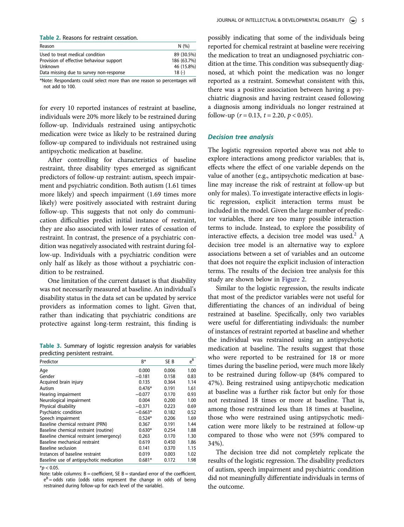<span id="page-5-0"></span>Table 2. Reasons for restraint cessation.

| Reason                                   | N(96)       |
|------------------------------------------|-------------|
| Used to treat medical condition          | 89 (30.5%)  |
| Provision of effective behaviour support | 186 (63.7%) |
| Unknown                                  | 46 (15.8%)  |
| Data missing due to survey non-response  | $18(-)$     |

\*Note: Respondants could select more than one reason so percentages will not add to 100.

for every 10 reported instances of restraint at baseline, individuals were 20% more likely to be restrained during follow-up. Individuals restrained using antipsychotic medication were twice as likely to be restrained during follow-up compared to individuals not restrained using antipsychotic medication at baseline.

After controlling for characteristics of baseline restraint, three disability types emerged as significant predictors of follow-up restraint: autism, speech impairment and psychiatric condition. Both autism (1.61 times more likely) and speech impairment (1.69 times more likely) were positively associated with restraint during follow-up. This suggests that not only do communication difficulties predict initial instance of restraint, they are also associated with lower rates of cessation of restraint. In contrast, the presence of a psychiatric condition was negatively associated with restraint during follow-up. Individuals with a psychiatric condition were only half as likely as those without a psychiatric condition to be restrained.

One limitation of the current dataset is that disability was not necessarily measured at baseline. An individual's disability status in the data set can be updated by service providers as information comes to light. Given that, rather than indicating that psychiatric conditions are protective against long-term restraint, this finding is

Table 3. Summary of logistic regression analysis for variables predicting persistent restraint.

| Predictor                                | $B^*$     | SE B  | $e^{B}$ |
|------------------------------------------|-----------|-------|---------|
| Age                                      | 0.000     | 0.006 | 1.00    |
| Gender                                   | $-0.181$  | 0.158 | 0.83    |
| Acquired brain injury                    | 0.135     | 0.364 | 1.14    |
| Autism                                   | $0.476*$  | 0.191 | 1.61    |
| Hearing impairment                       | $-0.077$  | 0.170 | 0.93    |
| Neurological impairment                  | 0.004     | 0.200 | 1.00    |
| Physical disability                      | $-0.371$  | 0.223 | 0.69    |
| Psychiatric condition                    | $-0.663*$ | 0.182 | 0.52    |
| Speech impairment                        | $0.524*$  | 0.206 | 1.69    |
| Baseline chemical restraint (PRN)        | 0.367     | 0.191 | 1.44    |
| Baseline chemical restraint (routine)    | $0.630*$  | 0.254 | 1.88    |
| Baseline chemical restraint (emergency)  | 0.263     | 0.170 | 1.30    |
| Baseline mechanical restraint            | 0.619     | 0.450 | 1.86    |
| Baseline seclusion                       | 0.141     | 0.370 | 1.15    |
| Instances of baseline restraint          | 0.019     | 0.003 | 1.02    |
| Baseline use of antipsychotic medication | $0.681*$  | 0.172 | 1.98    |

 $*_{p}$  < 0.05.

Note: table columns:  $B =$  coefficient,  $SE B =$  standard error of the coefficient,  $e^{B}$  = odds ratio (odds ratios represent the change in odds of being restrained during follow-up for each level of the variable).

possibly indicating that some of the individuals being reported for chemical restraint at baseline were receiving the medication to treat an undiagnosed psychiatric condition at the time. This condition was subsequently diagnosed, at which point the medication was no longer reported as a restraint. Somewhat consistent with this, there was a positive association between having a psychiatric diagnosis and having restraint ceased following a diagnosis among individuals no longer restrained at follow-up  $(r = 0.13, t = 2.20, p < 0.05)$ .

# Decision tree analysis

The logistic regression reported above was not able to explore interactions among predictor variables; that is, effects where the effect of one variable depends on the value of another (e.g., antipsychotic medication at baseline may increase the risk of restraint at follow-up but only for males). To investigate interactive effects in logistic regression, explicit interaction terms must be included in the model. Given the large number of predictor variables, there are too many possible interaction terms to include. Instead, to explore the possibility of interactive effects, a decision tree model was used.<sup>[2](#page-7-0)</sup> A decision tree model is an alternative way to explore associations between a set of variables and an outcome that does not require the explicit inclusion of interaction terms. The results of the decision tree analysis for this study are shown below in [Figure 2](#page-6-0).

Similar to the logistic regression, the results indicate that most of the predictor variables were not useful for differentiating the chances of an individual of being restrained at baseline. Specifically, only two variables were useful for differentiating individuals: the number of instances of restraint reported at baseline and whether the individual was restrained using an antipsychotic medication at baseline. The results suggest that those who were reported to be restrained for 18 or more times during the baseline period, were much more likely to be restrained during follow-up (84% compared to 47%). Being restrained using antipsychotic medication at baseline was a further risk factor but only for those not restrained 18 times or more at baseline. That is, among those restrained less than 18 times at baseline, those who were restrained using antipsychotic medication were more likely to be restrained at follow-up compared to those who were not (59% compared to 34%).

The decision tree did not completely replicate the results of the logistic regression. The disability predictors of autism, speech impairment and psychiatric condition did not meaningfully differentiate individuals in terms of the outcome.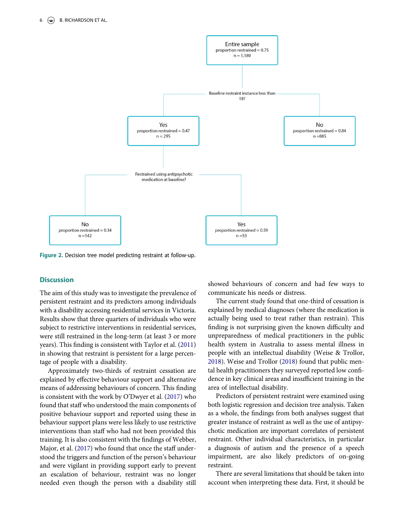<span id="page-6-0"></span>

Figure 2. Decision tree model predicting restraint at follow-up.

# **Discussion**

The aim of this study was to investigate the prevalence of persistent restraint and its predictors among individuals with a disability accessing residential services in Victoria. Results show that three quarters of individuals who were subject to restrictive interventions in residential services, were still restrained in the long-term (at least 3 or more years). This finding is consistent with Taylor et al. [\(2011](#page-8-0)) in showing that restraint is persistent for a large percentage of people with a disability.

Approximately two-thirds of restraint cessation are explained by effective behaviour support and alternative means of addressing behaviours of concern. This finding is consistent with the work by O'Dwyer et al. ([2017\)](#page-7-0) who found that staff who understood the main components of positive behaviour support and reported using these in behaviour support plans were less likely to use restrictive interventions than staff who had not been provided this training. It is also consistent with the findings of Webber, Major, et al. [\(2017](#page-8-0)) who found that once the staff understood the triggers and function of the person's behaviour and were vigilant in providing support early to prevent an escalation of behaviour, restraint was no longer needed even though the person with a disability still

showed behaviours of concern and had few ways to communicate his needs or distress.

The current study found that one-third of cessation is explained by medical diagnoses (where the medication is actually being used to treat rather than restrain). This finding is not surprising given the known difficulty and unpreparedness of medical practitioners in the public health system in Australia to assess mental illness in people with an intellectual disability (Weise & Trollor, [2018\)](#page-8-0). Weise and Trollor [\(2018](#page-8-0)) found that public mental health practitioners they surveyed reported low confidence in key clinical areas and insufficient training in the area of intellectual disability.

Predictors of persistent restraint were examined using both logistic regression and decision tree analysis. Taken as a whole, the findings from both analyses suggest that greater instance of restraint as well as the use of antipsychotic medication are important correlates of persistent restraint. Other individual characteristics, in particular a diagnosis of autism and the presence of a speech impairment, are also likely predictors of on-going restraint.

There are several limitations that should be taken into account when interpreting these data. First, it should be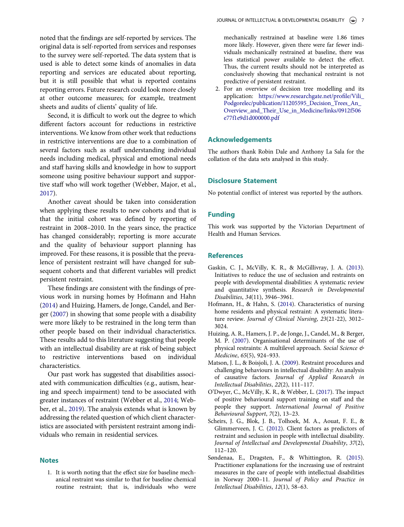<span id="page-7-0"></span>noted that the findings are self-reported by services. The original data is self-reported from services and responses to the survey were self-reported. The data system that is used is able to detect some kinds of anomalies in data reporting and services are educated about reporting, but it is still possible that what is reported contains reporting errors. Future research could look more closely at other outcome measures; for example, treatment sheets and audits of clients' quality of life.

Second, it is difficult to work out the degree to which different factors account for reductions in restrictive interventions. We know from other work that reductions in restrictive interventions are due to a combination of several factors such as staff understanding individual needs including medical, physical and emotional needs and staff having skills and knowledge in how to support someone using positive behaviour support and supportive staff who will work together (Webber, Major, et al., [2017](#page-8-0)).

Another caveat should be taken into consideration when applying these results to new cohorts and that is that the initial cohort was defined by reporting of restraint in 2008–2010. In the years since, the practice has changed considerably; reporting is more accurate and the quality of behaviour support planning has improved. For these reasons, it is possible that the prevalence of persistent restraint will have changed for subsequent cohorts and that different variables will predict persistent restraint.

These findings are consistent with the findings of previous work in nursing homes by Hofmann and Hahn (2014) and Huizing, Hamers, de Jonge, Candel, and Berger (2007) in showing that some people with a disability were more likely to be restrained in the long term than other people based on their individual characteristics. These results add to this literature suggesting that people with an intellectual disability are at risk of being subject to restrictive interventions based on individual characteristics.

Our past work has suggested that disabilities associated with communication difficulties (e.g., autism, hearing and speech impairment) tend to be associated with greater instances of restraint (Webber et al., [2014](#page-8-0); Webber, et al., [2019\)](#page-8-0). The analysis extends what is known by addressing the related question of which client characteristics are associated with persistent restraint among individuals who remain in residential services.

#### **Notes**

1. It is worth noting that the effect size for baseline mechanical restraint was similar to that for baseline chemical routine restraint; that is, individuals who were

mechanically restrained at baseline were 1.86 times more likely. However, given there were far fewer individuals mechanically restrained at baseline, there was less statistical power available to detect the effect. Thus, the current results should not be interpreted as conclusively showing that mechanical restraint is not predictive of persistent restraint.

2. For an overview of decision tree modelling and its application: [https://www.researchgate.net/pro](https://www.researchgate.net/profile/Vili_Podgorelec/publication/11205595_Decision_Trees_An_Overview_and_Their_Use_in_Medicine/links/0912f506e77f1e9d1d000000.pdf)file/Vili\_ [Podgorelec/publication/11205595\\_Decision\\_Trees\\_An\\_](https://www.researchgate.net/profile/Vili_Podgorelec/publication/11205595_Decision_Trees_An_Overview_and_Their_Use_in_Medicine/links/0912f506e77f1e9d1d000000.pdf) [Overview\\_and\\_Their\\_Use\\_in\\_Medicine/links/0912f506](https://www.researchgate.net/profile/Vili_Podgorelec/publication/11205595_Decision_Trees_An_Overview_and_Their_Use_in_Medicine/links/0912f506e77f1e9d1d000000.pdf) [e77f1e9d1d000000.pdf](https://www.researchgate.net/profile/Vili_Podgorelec/publication/11205595_Decision_Trees_An_Overview_and_Their_Use_in_Medicine/links/0912f506e77f1e9d1d000000.pdf)

#### Acknowledgements

The authors thank Robin Dale and Anthony La Sala for the collation of the data sets analysed in this study.

#### Disclosure Statement

No potential conflict of interest was reported by the authors.

### Funding

This work was supported by the Victorian Department of Health and Human Services.

### **References**

- Gaskin, C. J., McVilly, K. R., & McGillivray, J. A. ([2013](#page-2-0)). Initiatives to reduce the use of seclusion and restraints on people with developmental disabilities: A systematic review and quantitative synthesis. Research in Developmental Disabilities, 34(11), 3946–3961.
- Hofmann, H., & Hahn, S. [\(2014\)](#page-2-0). Characteristics of nursing home residents and physical restraint: A systematic literature review. Journal of Clinical Nursing, 23(21-22), 3012– 3024.
- Huizing, A. R., Hamers, J. P., de Jonge, J., Candel, M., & Berger, M. P. ([2007\)](#page-2-0). Organisational determinants of the use of physical restraints: A multilevel approach. Social Science & Medicine, 65(5), 924–933.
- Matson, J. L., & Boisjoli, J. A. ([2009\)](#page-1-0). Restraint procedures and challenging behaviours in intellectual disability: An analysis of causative factors. Journal of Applied Research in Intellectual Disabilities, 22(2), 111–117.
- O'Dwyer, C., McVilly, K. R., & Webber, L. [\(2017](#page-2-0)). The impact of positive behavioural support training on staff and the people they support. International Journal of Positive Behavioural Support, 7(2), 13–23.
- Scheirs, J. G., Blok, J. B., Tolhoek, M. A., Aouat, F. E., & Glimmerveen, J. C. [\(2012\)](#page-2-0). Client factors as predictors of restraint and seclusion in people with intellectual disability. Journal of Intellectual and Developmental Disability, 37(2), 112–120.
- Søndenaa, E., Dragsten, F., & Whittington, R. ([2015](#page-2-0)). Practitioner explanations for the increasing use of restraint measures in the care of people with intellectual disabilities in Norway 2000–11. Journal of Policy and Practice in Intellectual Disabilities, 12(1), 58–63.